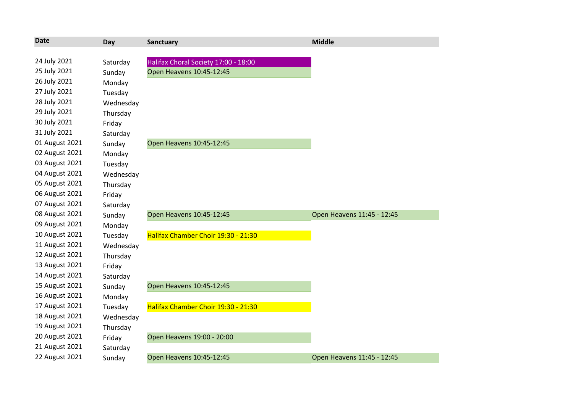| <b>Date</b>    | Day       | Sanctuary                            | <b>Middle</b>              |
|----------------|-----------|--------------------------------------|----------------------------|
|                |           |                                      |                            |
| 24 July 2021   | Saturday  | Halifax Choral Society 17:00 - 18:00 |                            |
| 25 July 2021   | Sunday    | Open Heavens 10:45-12:45             |                            |
| 26 July 2021   | Monday    |                                      |                            |
| 27 July 2021   | Tuesday   |                                      |                            |
| 28 July 2021   | Wednesday |                                      |                            |
| 29 July 2021   | Thursday  |                                      |                            |
| 30 July 2021   | Friday    |                                      |                            |
| 31 July 2021   | Saturday  |                                      |                            |
| 01 August 2021 | Sunday    | Open Heavens 10:45-12:45             |                            |
| 02 August 2021 | Monday    |                                      |                            |
| 03 August 2021 | Tuesday   |                                      |                            |
| 04 August 2021 | Wednesday |                                      |                            |
| 05 August 2021 | Thursday  |                                      |                            |
| 06 August 2021 | Friday    |                                      |                            |
| 07 August 2021 | Saturday  |                                      |                            |
| 08 August 2021 | Sunday    | Open Heavens 10:45-12:45             | Open Heavens 11:45 - 12:45 |
| 09 August 2021 | Monday    |                                      |                            |
| 10 August 2021 | Tuesday   | Halifax Chamber Choir 19:30 - 21:30  |                            |
| 11 August 2021 | Wednesday |                                      |                            |
| 12 August 2021 | Thursday  |                                      |                            |
| 13 August 2021 | Friday    |                                      |                            |
| 14 August 2021 | Saturday  |                                      |                            |
| 15 August 2021 | Sunday    | Open Heavens 10:45-12:45             |                            |
| 16 August 2021 | Monday    |                                      |                            |
| 17 August 2021 | Tuesday   | Halifax Chamber Choir 19:30 - 21:30  |                            |
| 18 August 2021 | Wednesday |                                      |                            |
| 19 August 2021 | Thursday  |                                      |                            |
| 20 August 2021 | Friday    | Open Heavens 19:00 - 20:00           |                            |
| 21 August 2021 | Saturday  |                                      |                            |
| 22 August 2021 | Sunday    | Open Heavens 10:45-12:45             | Open Heavens 11:45 - 12:45 |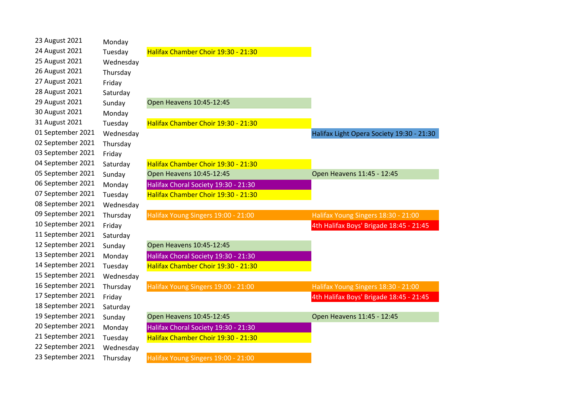| 23 August 2021    | Monday    |                                      |                                           |
|-------------------|-----------|--------------------------------------|-------------------------------------------|
| 24 August 2021    | Tuesday   | Halifax Chamber Choir 19:30 - 21:30  |                                           |
| 25 August 2021    | Wednesday |                                      |                                           |
| 26 August 2021    | Thursday  |                                      |                                           |
| 27 August 2021    | Friday    |                                      |                                           |
| 28 August 2021    | Saturday  |                                      |                                           |
| 29 August 2021    | Sunday    | Open Heavens 10:45-12:45             |                                           |
| 30 August 2021    | Monday    |                                      |                                           |
| 31 August 2021    | Tuesday   | Halifax Chamber Choir 19:30 - 21:30  |                                           |
| 01 September 2021 | Wednesday |                                      | Halifax Light Opera Society 19:30 - 21:30 |
| 02 September 2021 | Thursday  |                                      |                                           |
| 03 September 2021 | Friday    |                                      |                                           |
| 04 September 2021 | Saturday  | Halifax Chamber Choir 19:30 - 21:30  |                                           |
| 05 September 2021 | Sunday    | Open Heavens 10:45-12:45             | Open Heavens 11:45 - 12:45                |
| 06 September 2021 | Monday    | Halifax Choral Society 19:30 - 21:30 |                                           |
| 07 September 2021 | Tuesday   | Halifax Chamber Choir 19:30 - 21:30  |                                           |
| 08 September 2021 | Wednesday |                                      |                                           |
| 09 September 2021 | Thursday  | Halifax Young Singers 19:00 - 21:00  | Halifax Young Singers 18:30 - 21:00       |
| 10 September 2021 | Friday    |                                      | 4th Halifax Boys' Brigade 18:45 - 21:45   |
| 11 September 2021 | Saturday  |                                      |                                           |
| 12 September 2021 | Sunday    | Open Heavens 10:45-12:45             |                                           |
| 13 September 2021 | Monday    | Halifax Choral Society 19:30 - 21:30 |                                           |
| 14 September 2021 | Tuesday   | Halifax Chamber Choir 19:30 - 21:30  |                                           |
| 15 September 2021 | Wednesday |                                      |                                           |
| 16 September 2021 | Thursday  | Halifax Young Singers 19:00 - 21:00  | Halifax Young Singers 18:30 - 21:00       |
| 17 September 2021 | Friday    |                                      | 4th Halifax Boys' Brigade 18:45 - 21:45   |
| 18 September 2021 | Saturday  |                                      |                                           |
| 19 September 2021 | Sunday    | Open Heavens 10:45-12:45             | Open Heavens 11:45 - 12:45                |
| 20 September 2021 | Monday    | Halifax Choral Society 19:30 - 21:30 |                                           |
| 21 September 2021 | Tuesday   | Halifax Chamber Choir 19:30 - 21:30  |                                           |
| 22 September 2021 | Wednesday |                                      |                                           |
| 23 September 2021 | Thursday  | Halifax Young Singers 19:00 - 21:00  |                                           |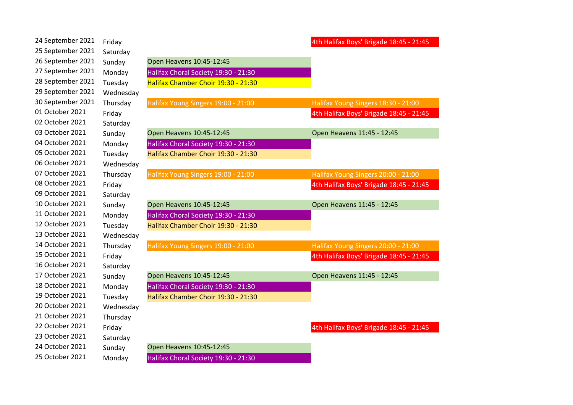| 24 September 2021 | Friday    |                                      | 4th Halifax Boys' Brigade 18:45 - 21:45 |
|-------------------|-----------|--------------------------------------|-----------------------------------------|
| 25 September 2021 | Saturday  |                                      |                                         |
| 26 September 2021 | Sunday    | Open Heavens 10:45-12:45             |                                         |
| 27 September 2021 | Monday    | Halifax Choral Society 19:30 - 21:30 |                                         |
| 28 September 2021 | Tuesday   | Halifax Chamber Choir 19:30 - 21:30  |                                         |
| 29 September 2021 | Wednesday |                                      |                                         |
| 30 September 2021 | Thursday  | Halifax Young Singers 19:00 - 21:00  | Halifax Young Singers 18:30 - 21:00     |
| 01 October 2021   | Friday    |                                      | 4th Halifax Boys' Brigade 18:45 - 21:45 |
| 02 October 2021   | Saturday  |                                      |                                         |
| 03 October 2021   | Sunday    | Open Heavens 10:45-12:45             | Open Heavens 11:45 - 12:45              |
| 04 October 2021   | Monday    | Halifax Choral Society 19:30 - 21:30 |                                         |
| 05 October 2021   | Tuesday   | Halifax Chamber Choir 19:30 - 21:30  |                                         |
| 06 October 2021   | Wednesday |                                      |                                         |
| 07 October 2021   | Thursday  | Halifax Young Singers 19:00 - 21:00  | Halifax Young Singers 20:00 - 21:00     |
| 08 October 2021   | Friday    |                                      | 4th Halifax Boys' Brigade 18:45 - 21:45 |
| 09 October 2021   | Saturday  |                                      |                                         |
| 10 October 2021   | Sunday    | Open Heavens 10:45-12:45             | Open Heavens 11:45 - 12:45              |
| 11 October 2021   | Monday    | Halifax Choral Society 19:30 - 21:30 |                                         |
| 12 October 2021   | Tuesday   | Halifax Chamber Choir 19:30 - 21:30  |                                         |
| 13 October 2021   | Wednesday |                                      |                                         |
| 14 October 2021   | Thursday  | Halifax Young Singers 19:00 - 21:00  | Halifax Young Singers 20:00 - 21:00     |
| 15 October 2021   | Friday    |                                      | 4th Halifax Boys' Brigade 18:45 - 21:45 |
| 16 October 2021   | Saturday  |                                      |                                         |
| 17 October 2021   | Sunday    | Open Heavens 10:45-12:45             | Open Heavens 11:45 - 12:45              |
| 18 October 2021   | Monday    | Halifax Choral Society 19:30 - 21:30 |                                         |
| 19 October 2021   | Tuesday   | Halifax Chamber Choir 19:30 - 21:30  |                                         |
| 20 October 2021   | Wednesday |                                      |                                         |
| 21 October 2021   | Thursday  |                                      |                                         |
| 22 October 2021   | Friday    |                                      | 4th Halifax Boys' Brigade 18:45 - 21:45 |
| 23 October 2021   | Saturday  |                                      |                                         |
| 24 October 2021   | Sunday    | Open Heavens 10:45-12:45             |                                         |
| 25 October 2021   | Monday    | Halifax Choral Society 19:30 - 21:30 |                                         |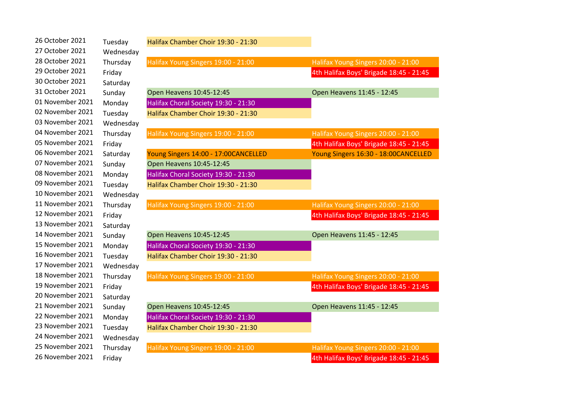| 26 October 2021  | Tuesday   | Halifax Chamber Choir 19:30 - 21:30  |                                         |
|------------------|-----------|--------------------------------------|-----------------------------------------|
| 27 October 2021  | Wednesday |                                      |                                         |
| 28 October 2021  | Thursday  | Halifax Young Singers 19:00 - 21:00  | Halifax Young Singers 20:00 - 21:00     |
| 29 October 2021  | Friday    |                                      | 4th Halifax Boys' Brigade 18:45 - 21:45 |
| 30 October 2021  | Saturday  |                                      |                                         |
| 31 October 2021  | Sunday    | Open Heavens 10:45-12:45             | Open Heavens 11:45 - 12:45              |
| 01 November 2021 | Monday    | Halifax Choral Society 19:30 - 21:30 |                                         |
| 02 November 2021 | Tuesday   | Halifax Chamber Choir 19:30 - 21:30  |                                         |
| 03 November 2021 | Wednesday |                                      |                                         |
| 04 November 2021 | Thursday  | Halifax Young Singers 19:00 - 21:00  | Halifax Young Singers 20:00 - 21:00     |
| 05 November 2021 | Friday    |                                      | 4th Halifax Boys' Brigade 18:45 - 21:45 |
| 06 November 2021 | Saturday  | Young Singers 14:00 - 17:00CANCELLED | Young Singers 16:30 - 18:00CANCELLED    |
| 07 November 2021 | Sunday    | Open Heavens 10:45-12:45             |                                         |
| 08 November 2021 | Monday    | Halifax Choral Society 19:30 - 21:30 |                                         |
| 09 November 2021 | Tuesday   | Halifax Chamber Choir 19:30 - 21:30  |                                         |
| 10 November 2021 | Wednesday |                                      |                                         |
| 11 November 2021 | Thursday  | Halifax Young Singers 19:00 - 21:00  | Halifax Young Singers 20:00 - 21:00     |
| 12 November 2021 | Friday    |                                      | 4th Halifax Boys' Brigade 18:45 - 21:45 |
| 13 November 2021 | Saturday  |                                      |                                         |
| 14 November 2021 | Sunday    | Open Heavens 10:45-12:45             | Open Heavens 11:45 - 12:45              |
| 15 November 2021 | Monday    | Halifax Choral Society 19:30 - 21:30 |                                         |
| 16 November 2021 | Tuesday   | Halifax Chamber Choir 19:30 - 21:30  |                                         |
| 17 November 2021 | Wednesday |                                      |                                         |
| 18 November 2021 | Thursday  | Halifax Young Singers 19:00 - 21:00  | Halifax Young Singers 20:00 - 21:00     |
| 19 November 2021 | Friday    |                                      | 4th Halifax Boys' Brigade 18:45 - 21:45 |
| 20 November 2021 | Saturday  |                                      |                                         |
| 21 November 2021 | Sunday    | Open Heavens 10:45-12:45             | Open Heavens 11:45 - 12:45              |
| 22 November 2021 | Monday    | Halifax Choral Society 19:30 - 21:30 |                                         |
| 23 November 2021 | Tuesday   | Halifax Chamber Choir 19:30 - 21:30  |                                         |
| 24 November 2021 | Wednesday |                                      |                                         |
| 25 November 2021 | Thursday  | Halifax Young Singers 19:00 - 21:00  | Halifax Young Singers 20:00 - 21:00     |
| 26 November 2021 | Friday    |                                      | 4th Halifax Boys' Brigade 18:45 - 21:45 |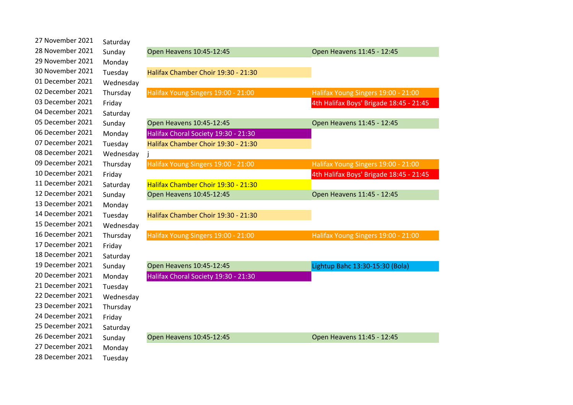| 27 November 2021 | Saturday  |                                      |                                         |
|------------------|-----------|--------------------------------------|-----------------------------------------|
| 28 November 2021 | Sunday    | Open Heavens 10:45-12:45             | Open Heavens 11:45 - 12:45              |
| 29 November 2021 | Monday    |                                      |                                         |
| 30 November 2021 | Tuesday   | Halifax Chamber Choir 19:30 - 21:30  |                                         |
| 01 December 2021 | Wednesday |                                      |                                         |
| 02 December 2021 | Thursday  | Halifax Young Singers 19:00 - 21:00  | Halifax Young Singers 19:00 - 21:00     |
| 03 December 2021 | Friday    |                                      | 4th Halifax Boys' Brigade 18:45 - 21:45 |
| 04 December 2021 | Saturday  |                                      |                                         |
| 05 December 2021 | Sunday    | Open Heavens 10:45-12:45             | Open Heavens 11:45 - 12:45              |
| 06 December 2021 | Monday    | Halifax Choral Society 19:30 - 21:30 |                                         |
| 07 December 2021 | Tuesday   | Halifax Chamber Choir 19:30 - 21:30  |                                         |
| 08 December 2021 | Wednesday |                                      |                                         |
| 09 December 2021 | Thursday  | Halifax Young Singers 19:00 - 21:00  | Halifax Young Singers 19:00 - 21:00     |
| 10 December 2021 | Friday    |                                      | 4th Halifax Boys' Brigade 18:45 - 21:45 |
| 11 December 2021 | Saturday  | Halifax Chamber Choir 19:30 - 21:30  |                                         |
| 12 December 2021 | Sunday    | Open Heavens 10:45-12:45             | Open Heavens 11:45 - 12:45              |
| 13 December 2021 | Monday    |                                      |                                         |
| 14 December 2021 | Tuesday   | Halifax Chamber Choir 19:30 - 21:30  |                                         |
| 15 December 2021 | Wednesday |                                      |                                         |
| 16 December 2021 | Thursday  | Halifax Young Singers 19:00 - 21:00  | Halifax Young Singers 19:00 - 21:00     |
| 17 December 2021 | Friday    |                                      |                                         |
| 18 December 2021 | Saturday  |                                      |                                         |
| 19 December 2021 | Sunday    | Open Heavens 10:45-12:45             | Lightup Bahc 13:30-15:30 (Bola)         |
| 20 December 2021 | Monday    | Halifax Choral Society 19:30 - 21:30 |                                         |
| 21 December 2021 | Tuesday   |                                      |                                         |
| 22 December 2021 | Wednesday |                                      |                                         |
| 23 December 2021 | Thursday  |                                      |                                         |
| 24 December 2021 | Friday    |                                      |                                         |
| 25 December 2021 | Saturday  |                                      |                                         |
| 26 December 2021 | Sunday    | Open Heavens 10:45-12:45             | Open Heavens 11:45 - 12:45              |
| 27 December 2021 | Monday    |                                      |                                         |
| 28 December 2021 | Tuesday   |                                      |                                         |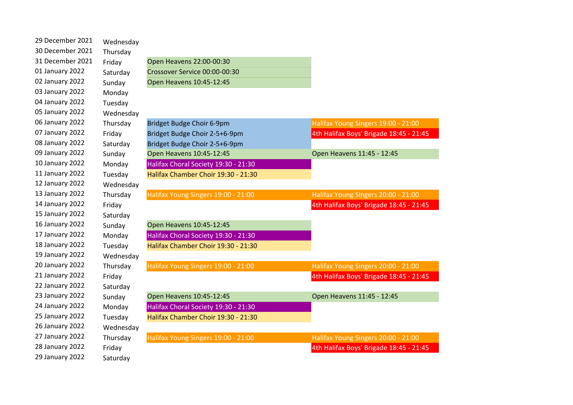| 29 December 2021 | Wednesday |                                      |                                         |
|------------------|-----------|--------------------------------------|-----------------------------------------|
| 30 December 2021 | Thursday  |                                      |                                         |
| 31 December 2021 | Friday    | Open Heavens 22:00-00:30             |                                         |
| 01 January 2022  | Saturday  | Crossover Service 00:00-00:30        |                                         |
| 02 January 2022  | Sunday    | Open Heavens 10:45-12:45             |                                         |
| 03 January 2022  | Monday    |                                      |                                         |
| 04 January 2022  | Tuesday   |                                      |                                         |
| 05 January 2022  | Wednesday |                                      |                                         |
| 06 January 2022  | Thursday  | Bridget Budge Choir 6-9pm            | Halifax Young Singers 19:00 - 21:00     |
| 07 January 2022  | Friday    | Bridget Budge Choir 2-5+6-9pm        | 4th Halifax Boys' Brigade 18:45 - 21:45 |
| 08 January 2022  | Saturday  | Bridget Budge Choir 2-5+6-9pm        |                                         |
| 09 January 2022  | Sunday    | Open Heavens 10:45-12:45             | Open Heavens 11:45 - 12:45              |
| 10 January 2022  | Monday    | Halifax Choral Society 19:30 - 21:30 |                                         |
| 11 January 2022  | Tuesday   | Halifax Chamber Choir 19:30 - 21:30  |                                         |
| 12 January 2022  | Wednesday |                                      |                                         |
| 13 January 2022  | Thursday  | Halifax Young Singers 19:00 - 21:00  | Halifax Young Singers 20:00 - 21:00     |
| 14 January 2022  | Friday    |                                      | 4th Halifax Boys' Brigade 18:45 - 21:45 |
| 15 January 2022  | Saturday  |                                      |                                         |
| 16 January 2022  | Sunday    | Open Heavens 10:45-12:45             |                                         |
| 17 January 2022  | Monday    | Halifax Choral Society 19:30 - 21:30 |                                         |
| 18 January 2022  | Tuesday   | Halifax Chamber Choir 19:30 - 21:30  |                                         |
| 19 January 2022  | Wednesday |                                      |                                         |
| 20 January 2022  | Thursday  | Halifax Young Singers 19:00 - 21:00  | Halifax Young Singers 20:00 - 21:00     |
| 21 January 2022  | Friday    |                                      | 4th Halifax Boys' Brigade 18:45 - 21:45 |
| 22 January 2022  | Saturday  |                                      |                                         |
| 23 January 2022  | Sunday    | Open Heavens 10:45-12:45             | Open Heavens 11:45 - 12:45              |
| 24 January 2022  | Monday    | Halifax Choral Society 19:30 - 21:30 |                                         |
| 25 January 2022  | Tuesday   | Halifax Chamber Choir 19:30 - 21:30  |                                         |
| 26 January 2022  | Wednesday |                                      |                                         |
| 27 January 2022  | Thursday  | Halifax Young Singers 19:00 - 21:00  | Halifax Young Singers 20:00 - 21:00     |
| 28 January 2022  | Friday    |                                      | 4th Halifax Boys' Brigade 18:45 - 21:45 |
| 29 January 2022  | Saturday  |                                      |                                         |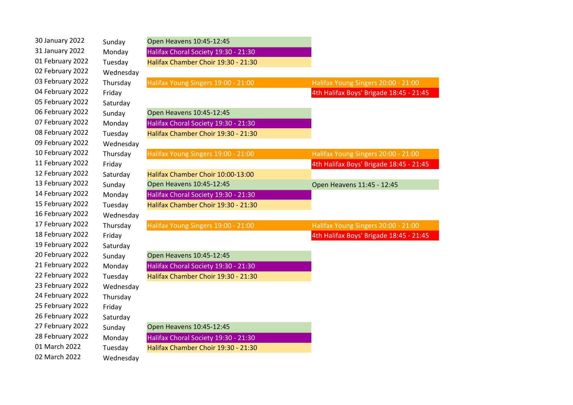| 30 January 2022  | Sunday    | Open Heavens 10:45-12:45             |                                         |
|------------------|-----------|--------------------------------------|-----------------------------------------|
| 31 January 2022  | Monday    | Halifax Choral Society 19:30 - 21:30 |                                         |
| 01 February 2022 | Tuesday   | Halifax Chamber Choir 19:30 - 21:30  |                                         |
| 02 February 2022 | Wednesday |                                      |                                         |
| 03 February 2022 | Thursday  | Halifax Young Singers 19:00 - 21:00  | Halifax Young Singers 20:00 - 21:00     |
| 04 February 2022 | Friday    |                                      | 4th Halifax Boys' Brigade 18:45 - 21:45 |
| 05 February 2022 | Saturday  |                                      |                                         |
| 06 February 2022 | Sunday    | Open Heavens 10:45-12:45             |                                         |
| 07 February 2022 | Monday    | Halifax Choral Society 19:30 - 21:30 |                                         |
| 08 February 2022 | Tuesday   | Halifax Chamber Choir 19:30 - 21:30  |                                         |
| 09 February 2022 | Wednesday |                                      |                                         |
| 10 February 2022 | Thursday  | Halifax Young Singers 19:00 - 21:00  | Halifax Young Singers 20:00 - 21:00     |
| 11 February 2022 | Friday    |                                      | 4th Halifax Boys' Brigade 18:45 - 21:45 |
| 12 February 2022 | Saturday  | Halifax Chamber Choir 10:00-13:00    |                                         |
| 13 February 2022 | Sunday    | Open Heavens 10:45-12:45             | Open Heavens 11:45 - 12:45              |
| 14 February 2022 | Monday    | Halifax Choral Society 19:30 - 21:30 |                                         |
| 15 February 2022 | Tuesday   | Halifax Chamber Choir 19:30 - 21:30  |                                         |
| 16 February 2022 | Wednesday |                                      |                                         |
| 17 February 2022 | Thursday  | Halifax Young Singers 19:00 - 21:00  | Halifax Young Singers 20:00 - 21:00     |
| 18 February 2022 | Friday    |                                      | 4th Halifax Boys' Brigade 18:45 - 21:45 |
| 19 February 2022 | Saturday  |                                      |                                         |
| 20 February 2022 | Sunday    | Open Heavens 10:45-12:45             |                                         |
| 21 February 2022 | Monday    | Halifax Choral Society 19:30 - 21:30 |                                         |
| 22 February 2022 | Tuesday   | Halifax Chamber Choir 19:30 - 21:30  |                                         |
| 23 February 2022 | Wednesday |                                      |                                         |
| 24 February 2022 | Thursday  |                                      |                                         |
| 25 February 2022 | Friday    |                                      |                                         |
| 26 February 2022 | Saturday  |                                      |                                         |
| 27 February 2022 | Sunday    | Open Heavens 10:45-12:45             |                                         |
| 28 February 2022 | Monday    | Halifax Choral Society 19:30 - 21:30 |                                         |
| 01 March 2022    | Tuesday   | Halifax Chamber Choir 19:30 - 21:30  |                                         |
| 02 March 2022    | Wednesday |                                      |                                         |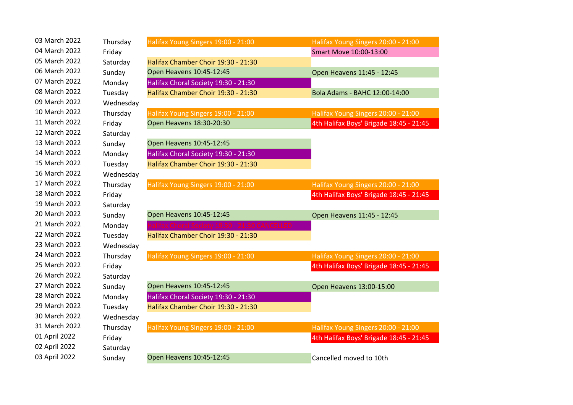| 03 March 2022 | Thursday  | Halifax Young Singers 19:00 - 21:00  | Halifax Young Singers 20:00 - 21:00     |
|---------------|-----------|--------------------------------------|-----------------------------------------|
| 04 March 2022 | Friday    |                                      | Smart Move 10:00-13:00                  |
| 05 March 2022 | Saturday  | Halifax Chamber Choir 19:30 - 21:30  |                                         |
| 06 March 2022 | Sunday    | Open Heavens 10:45-12:45             | Open Heavens 11:45 - 12:45              |
| 07 March 2022 | Monday    | Halifax Choral Society 19:30 - 21:30 |                                         |
| 08 March 2022 | Tuesday   | Halifax Chamber Choir 19:30 - 21:30  | Bola Adams - BAHC 12:00-14:00           |
| 09 March 2022 | Wednesday |                                      |                                         |
| 10 March 2022 | Thursday  | Halifax Young Singers 19:00 - 21:00  | Halifax Young Singers 20:00 - 21:00     |
| 11 March 2022 | Friday    | Open Heavens 18:30-20:30             | 4th Halifax Boys' Brigade 18:45 - 21:45 |
| 12 March 2022 | Saturday  |                                      |                                         |
| 13 March 2022 | Sunday    | Open Heavens 10:45-12:45             |                                         |
| 14 March 2022 | Monday    | Halifax Choral Society 19:30 - 21:30 |                                         |
| 15 March 2022 | Tuesday   | Halifax Chamber Choir 19:30 - 21:30  |                                         |
| 16 March 2022 | Wednesday |                                      |                                         |
| 17 March 2022 | Thursday  | Halifax Young Singers 19:00 - 21:00  | Halifax Young Singers 20:00 - 21:00     |
| 18 March 2022 | Friday    |                                      | 4th Halifax Boys' Brigade 18:45 - 21:45 |
| 19 March 2022 | Saturday  |                                      |                                         |
| 20 March 2022 | Sunday    | Open Heavens 10:45-12:45             | Open Heavens 11:45 - 12:45              |
| 21 March 2022 | Monday    | fax Choral Society 19:30<br>ANCELLED |                                         |
| 22 March 2022 | Tuesday   | Halifax Chamber Choir 19:30 - 21:30  |                                         |
| 23 March 2022 | Wednesday |                                      |                                         |
| 24 March 2022 | Thursday  | Halifax Young Singers 19:00 - 21:00  | Halifax Young Singers 20:00 - 21:00     |
| 25 March 2022 | Friday    |                                      | 4th Halifax Boys' Brigade 18:45 - 21:45 |
| 26 March 2022 | Saturday  |                                      |                                         |
| 27 March 2022 | Sunday    | Open Heavens 10:45-12:45             | Open Heavens 13:00-15:00                |
| 28 March 2022 | Monday    | Halifax Choral Society 19:30 - 21:30 |                                         |
| 29 March 2022 | Tuesday   | Halifax Chamber Choir 19:30 - 21:30  |                                         |
| 30 March 2022 | Wednesday |                                      |                                         |
| 31 March 2022 | Thursday  | Halifax Young Singers 19:00 - 21:00  | Halifax Young Singers 20:00 - 21:00     |
| 01 April 2022 | Friday    |                                      | 4th Halifax Boys' Brigade 18:45 - 21:45 |
| 02 April 2022 | Saturday  |                                      |                                         |
| 03 April 2022 | Sunday    | Open Heavens 10:45-12:45             | Cancelled moved to 10th                 |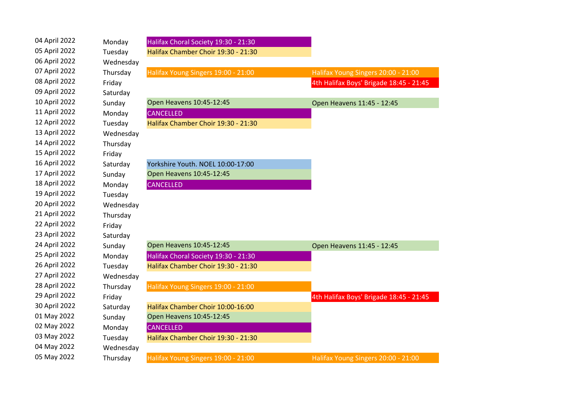| 04 April 2022 | Monday    | Halifax Choral Society 19:30 - 21:30 |                                         |
|---------------|-----------|--------------------------------------|-----------------------------------------|
| 05 April 2022 | Tuesday   | Halifax Chamber Choir 19:30 - 21:30  |                                         |
| 06 April 2022 | Wednesday |                                      |                                         |
| 07 April 2022 | Thursday  | Halifax Young Singers 19:00 - 21:00  | Halifax Young Singers 20:00 - 21:00     |
| 08 April 2022 | Friday    |                                      | 4th Halifax Boys' Brigade 18:45 - 21:45 |
| 09 April 2022 | Saturday  |                                      |                                         |
| 10 April 2022 | Sunday    | Open Heavens 10:45-12:45             | Open Heavens 11:45 - 12:45              |
| 11 April 2022 | Monday    | <b>CANCELLED</b>                     |                                         |
| 12 April 2022 | Tuesday   | Halifax Chamber Choir 19:30 - 21:30  |                                         |
| 13 April 2022 | Wednesday |                                      |                                         |
| 14 April 2022 | Thursday  |                                      |                                         |
| 15 April 2022 | Friday    |                                      |                                         |
| 16 April 2022 | Saturday  | Yorkshire Youth. NOEL 10:00-17:00    |                                         |
| 17 April 2022 | Sunday    | Open Heavens 10:45-12:45             |                                         |
| 18 April 2022 | Monday    | <b>CANCELLED</b>                     |                                         |
| 19 April 2022 | Tuesday   |                                      |                                         |
| 20 April 2022 | Wednesday |                                      |                                         |
| 21 April 2022 | Thursday  |                                      |                                         |
| 22 April 2022 | Friday    |                                      |                                         |
| 23 April 2022 | Saturday  |                                      |                                         |
| 24 April 2022 | Sunday    | Open Heavens 10:45-12:45             | Open Heavens 11:45 - 12:45              |
| 25 April 2022 | Monday    | Halifax Choral Society 19:30 - 21:30 |                                         |
| 26 April 2022 | Tuesday   | Halifax Chamber Choir 19:30 - 21:30  |                                         |
| 27 April 2022 | Wednesday |                                      |                                         |
| 28 April 2022 | Thursday  | Halifax Young Singers 19:00 - 21:00  |                                         |
| 29 April 2022 | Friday    |                                      | 4th Halifax Boys' Brigade 18:45 - 21:45 |
| 30 April 2022 | Saturday  | Halifax Chamber Choir 10:00-16:00    |                                         |
| 01 May 2022   | Sunday    | Open Heavens 10:45-12:45             |                                         |
| 02 May 2022   | Monday    | <b>CANCELLED</b>                     |                                         |
| 03 May 2022   | Tuesday   | Halifax Chamber Choir 19:30 - 21:30  |                                         |
| 04 May 2022   | Wednesday |                                      |                                         |
| 05 May 2022   | Thursday  | Halifax Young Singers 19:00 - 21:00  | Halifax Young Singers 20:00 - 21:00     |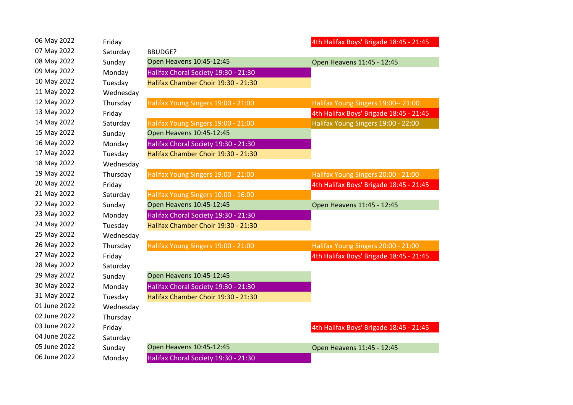| 06 May 2022  | Friday    |                                      | 4th Halifax Boys' Brigade 18:45 - 21:45 |
|--------------|-----------|--------------------------------------|-----------------------------------------|
| 07 May 2022  | Saturday  | <b>BBUDGE?</b>                       |                                         |
| 08 May 2022  | Sunday    | Open Heavens 10:45-12:45             | Open Heavens 11:45 - 12:45              |
| 09 May 2022  | Monday    | Halifax Choral Society 19:30 - 21:30 |                                         |
| 10 May 2022  | Tuesday   | Halifax Chamber Choir 19:30 - 21:30  |                                         |
| 11 May 2022  | Wednesday |                                      |                                         |
| 12 May 2022  | Thursday  | Halifax Young Singers 19:00 - 21:00  | Halifax Young Singers 19:00-- 21:00     |
| 13 May 2022  | Friday    |                                      | 4th Halifax Boys' Brigade 18:45 - 21:45 |
| 14 May 2022  | Saturday  | Halifax Young Singers 19:00 - 21:00  | Halifax Young Singers 19:00 - 22:00     |
| 15 May 2022  | Sunday    | Open Heavens 10:45-12:45             |                                         |
| 16 May 2022  | Monday    | Halifax Choral Society 19:30 - 21:30 |                                         |
| 17 May 2022  | Tuesday   | Halifax Chamber Choir 19:30 - 21:30  |                                         |
| 18 May 2022  | Wednesday |                                      |                                         |
| 19 May 2022  | Thursday  | Halifax Young Singers 19:00 - 21:00  | Halifax Young Singers 20:00 - 21:00     |
| 20 May 2022  | Friday    |                                      | 4th Halifax Boys' Brigade 18:45 - 21:45 |
| 21 May 2022  | Saturday  | Halifax Young Singers 10:00 - 16:00  |                                         |
| 22 May 2022  | Sunday    | Open Heavens 10:45-12:45             | Open Heavens 11:45 - 12:45              |
| 23 May 2022  | Monday    | Halifax Choral Society 19:30 - 21:30 |                                         |
| 24 May 2022  | Tuesday   | Halifax Chamber Choir 19:30 - 21:30  |                                         |
| 25 May 2022  | Wednesday |                                      |                                         |
| 26 May 2022  | Thursday  | Halifax Young Singers 19:00 - 21:00  | Halifax Young Singers 20:00 - 21:00     |
| 27 May 2022  | Friday    |                                      | 4th Halifax Boys' Brigade 18:45 - 21:45 |
| 28 May 2022  | Saturday  |                                      |                                         |
| 29 May 2022  | Sunday    | Open Heavens 10:45-12:45             |                                         |
| 30 May 2022  | Monday    | Halifax Choral Society 19:30 - 21:30 |                                         |
| 31 May 2022  | Tuesday   | Halifax Chamber Choir 19:30 - 21:30  |                                         |
| 01 June 2022 | Wednesday |                                      |                                         |
| 02 June 2022 | Thursday  |                                      |                                         |
| 03 June 2022 | Friday    |                                      | 4th Halifax Boys' Brigade 18:45 - 21:45 |
| 04 June 2022 | Saturday  |                                      |                                         |
| 05 June 2022 | Sunday    | Open Heavens 10:45-12:45             | Open Heavens 11:45 - 12:45              |
| 06 June 2022 | Monday    | Halifax Choral Society 19:30 - 21:30 |                                         |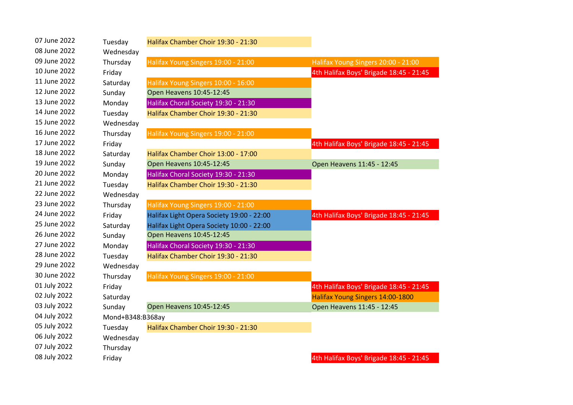| 07 June 2022 | Tuesday          | Halifax Chamber Choir 19:30 - 21:30       |                                         |
|--------------|------------------|-------------------------------------------|-----------------------------------------|
| 08 June 2022 | Wednesday        |                                           |                                         |
| 09 June 2022 | Thursday         | Halifax Young Singers 19:00 - 21:00       | Halifax Young Singers 20:00 - 21:00     |
| 10 June 2022 | Friday           |                                           | 4th Halifax Boys' Brigade 18:45 - 21:45 |
| 11 June 2022 | Saturday         | Halifax Young Singers 10:00 - 16:00       |                                         |
| 12 June 2022 | Sunday           | Open Heavens 10:45-12:45                  |                                         |
| 13 June 2022 | Monday           | Halifax Choral Society 19:30 - 21:30      |                                         |
| 14 June 2022 | Tuesday          | Halifax Chamber Choir 19:30 - 21:30       |                                         |
| 15 June 2022 | Wednesday        |                                           |                                         |
| 16 June 2022 | Thursday         | Halifax Young Singers 19:00 - 21:00       |                                         |
| 17 June 2022 | Friday           |                                           | 4th Halifax Boys' Brigade 18:45 - 21:45 |
| 18 June 2022 | Saturday         | Halifax Chamber Choir 13:00 - 17:00       |                                         |
| 19 June 2022 | Sunday           | Open Heavens 10:45-12:45                  | Open Heavens 11:45 - 12:45              |
| 20 June 2022 | Monday           | Halifax Choral Society 19:30 - 21:30      |                                         |
| 21 June 2022 | Tuesday          | Halifax Chamber Choir 19:30 - 21:30       |                                         |
| 22 June 2022 | Wednesday        |                                           |                                         |
| 23 June 2022 | Thursday         | Halifax Young Singers 19:00 - 21:00       |                                         |
| 24 June 2022 | Friday           | Halifax Light Opera Society 19:00 - 22:00 | 4th Halifax Boys' Brigade 18:45 - 21:45 |
| 25 June 2022 | Saturday         | Halifax Light Opera Society 10:00 - 22:00 |                                         |
| 26 June 2022 | Sunday           | Open Heavens 10:45-12:45                  |                                         |
| 27 June 2022 | Monday           | Halifax Choral Society 19:30 - 21:30      |                                         |
| 28 June 2022 | Tuesday          | Halifax Chamber Choir 19:30 - 21:30       |                                         |
| 29 June 2022 | Wednesday        |                                           |                                         |
| 30 June 2022 | Thursday         | Halifax Young Singers 19:00 - 21:00       |                                         |
| 01 July 2022 | Friday           |                                           | 4th Halifax Boys' Brigade 18:45 - 21:45 |
| 02 July 2022 | Saturday         |                                           | Halifax Young Singers 14:00-1800        |
| 03 July 2022 | Sunday           | Open Heavens 10:45-12:45                  | Open Heavens 11:45 - 12:45              |
| 04 July 2022 | Mond+B348:B368ay |                                           |                                         |
| 05 July 2022 | Tuesday          | Halifax Chamber Choir 19:30 - 21:30       |                                         |
| 06 July 2022 | Wednesday        |                                           |                                         |
| 07 July 2022 | Thursday         |                                           |                                         |
| 08 July 2022 | Friday           |                                           | 4th Halifax Boys' Brigade 18:45 - 21:45 |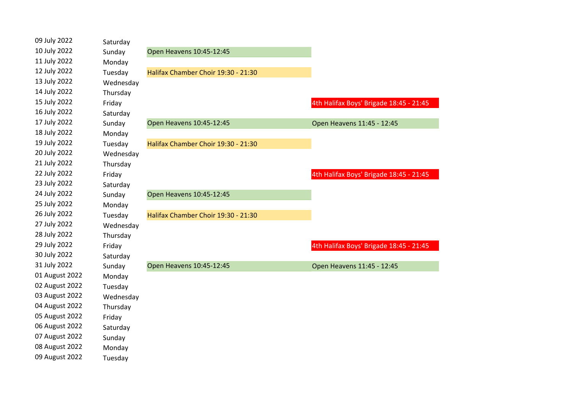| 09 July 2022   | Saturday  |                                     |                                         |
|----------------|-----------|-------------------------------------|-----------------------------------------|
| 10 July 2022   | Sunday    | Open Heavens 10:45-12:45            |                                         |
| 11 July 2022   | Monday    |                                     |                                         |
| 12 July 2022   | Tuesday   | Halifax Chamber Choir 19:30 - 21:30 |                                         |
| 13 July 2022   | Wednesday |                                     |                                         |
| 14 July 2022   | Thursday  |                                     |                                         |
| 15 July 2022   | Friday    |                                     | 4th Halifax Boys' Brigade 18:45 - 21:45 |
| 16 July 2022   | Saturday  |                                     |                                         |
| 17 July 2022   | Sunday    | Open Heavens 10:45-12:45            | Open Heavens 11:45 - 12:45              |
| 18 July 2022   | Monday    |                                     |                                         |
| 19 July 2022   | Tuesday   | Halifax Chamber Choir 19:30 - 21:30 |                                         |
| 20 July 2022   | Wednesday |                                     |                                         |
| 21 July 2022   | Thursday  |                                     |                                         |
| 22 July 2022   | Friday    |                                     | 4th Halifax Boys' Brigade 18:45 - 21:45 |
| 23 July 2022   | Saturday  |                                     |                                         |
| 24 July 2022   | Sunday    | Open Heavens 10:45-12:45            |                                         |
| 25 July 2022   | Monday    |                                     |                                         |
| 26 July 2022   | Tuesday   | Halifax Chamber Choir 19:30 - 21:30 |                                         |
| 27 July 2022   | Wednesday |                                     |                                         |
| 28 July 2022   | Thursday  |                                     |                                         |
| 29 July 2022   | Friday    |                                     | 4th Halifax Boys' Brigade 18:45 - 21:45 |
| 30 July 2022   | Saturday  |                                     |                                         |
| 31 July 2022   | Sunday    | Open Heavens 10:45-12:45            | Open Heavens 11:45 - 12:45              |
| 01 August 2022 | Monday    |                                     |                                         |
| 02 August 2022 | Tuesday   |                                     |                                         |
| 03 August 2022 | Wednesday |                                     |                                         |
| 04 August 2022 | Thursday  |                                     |                                         |
| 05 August 2022 | Friday    |                                     |                                         |
| 06 August 2022 | Saturday  |                                     |                                         |
| 07 August 2022 | Sunday    |                                     |                                         |
| 08 August 2022 | Monday    |                                     |                                         |
| 09 August 2022 | Tuesday   |                                     |                                         |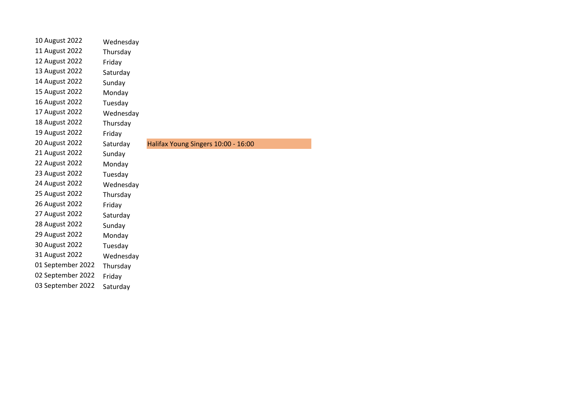| 10 August 2022    | Wednesday |                                     |
|-------------------|-----------|-------------------------------------|
| 11 August 2022    | Thursday  |                                     |
| 12 August 2022    | Friday    |                                     |
| 13 August 2022    | Saturday  |                                     |
| 14 August 2022    | Sunday    |                                     |
| 15 August 2022    | Monday    |                                     |
| 16 August 2022    | Tuesday   |                                     |
| 17 August 2022    | Wednesday |                                     |
| 18 August 2022    | Thursday  |                                     |
| 19 August 2022    | Friday    |                                     |
| 20 August 2022    | Saturday  | Halifax Young Singers 10:00 - 16:00 |
| 21 August 2022    | Sunday    |                                     |
| 22 August 2022    | Monday    |                                     |
| 23 August 2022    | Tuesday   |                                     |
| 24 August 2022    | Wednesday |                                     |
| 25 August 2022    | Thursday  |                                     |
| 26 August 2022    | Friday    |                                     |
| 27 August 2022    | Saturday  |                                     |
| 28 August 2022    | Sunday    |                                     |
| 29 August 2022    | Monday    |                                     |
| 30 August 2022    | Tuesday   |                                     |
| 31 August 2022    | Wednesday |                                     |
| 01 September 2022 | Thursday  |                                     |
| 02 September 2022 | Friday    |                                     |
| 03 September 2022 | Saturday  |                                     |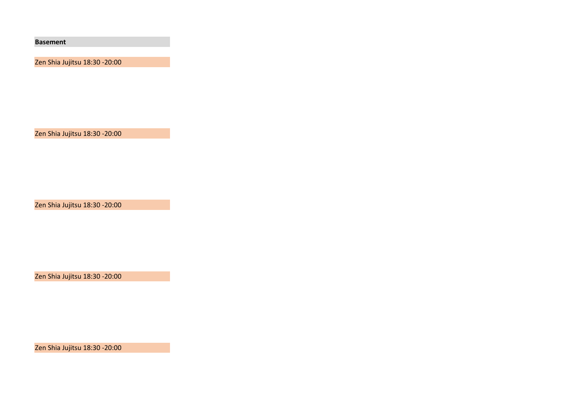**Basement**

Zen Shia Jujitsu 18:30 -20:00

Zen Shia Jujitsu 18:30 -20:00

Zen Shia Jujitsu 18:30 -20:00

Zen Shia Jujitsu 18:30 -20:00

Zen Shia Jujitsu 18:30 -20:00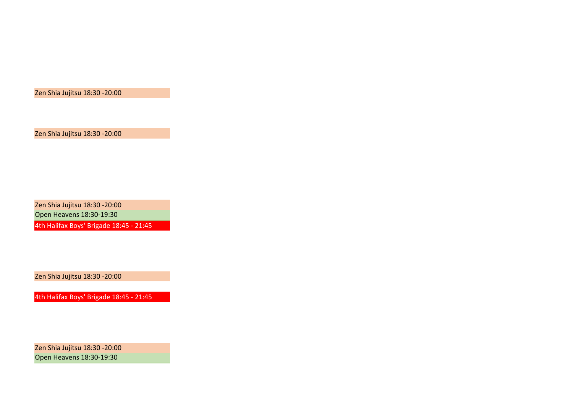Zen Shia Jujitsu 18:30 -20:00

Zen Shia Jujitsu 18:30 -20:00 Open Heavens 18:30-19:30 4th Halifax Boys' Brigade 18:45 - 21:45

Zen Shia Jujitsu 18:30 -20:00

4th Halifax Boys' Brigade 18:45 - 21:45

Zen Shia Jujitsu 18:30 -20:00 Open Heavens 18:30-19:30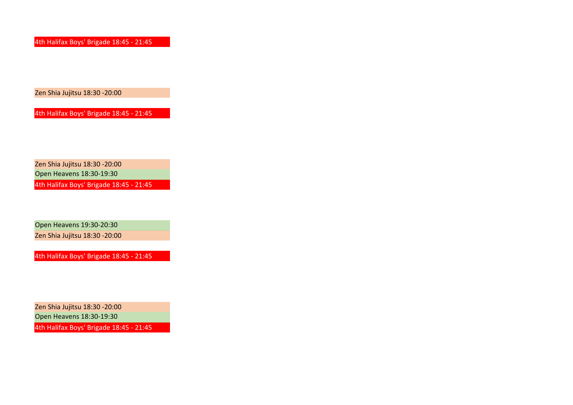4th Halifax Boys' Brigade 18:45 - 21:45

Zen Shia Jujitsu 18:30 -20:00

4th Halifax Boys' Brigade 18:45 - 21:45

Zen Shia Jujitsu 18:30 -20:00

Open Heavens 18:30-19:30

4th Halifax Boys' Brigade 18:45 - 21:45

Open Heavens 19:30-20:30 Zen Shia Jujitsu 18:30 -20:00

4th Halifax Boys' Brigade 18:45 - 21:45

Zen Shia Jujitsu 18:30 -20:00

Open Heavens 18:30-19:30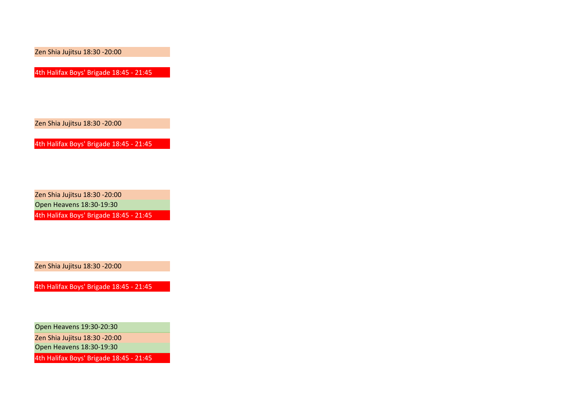4th Halifax Boys' Brigade 18:45 - 21:45

Zen Shia Jujitsu 18:30 -20:00

4th Halifax Boys' Brigade 18:45 - 21:45

Zen Shia Jujitsu 18:30 -20:00 Open Heavens 18:30-19:30

4th Halifax Boys' Brigade 18:45 - 21:45

Zen Shia Jujitsu 18:30 -20:00

4th Halifax Boys' Brigade 18:45 - 21:45

Open Heavens 19:30-20:30

Zen Shia Jujitsu 18:30 -20:00

Open Heavens 18:30-19:30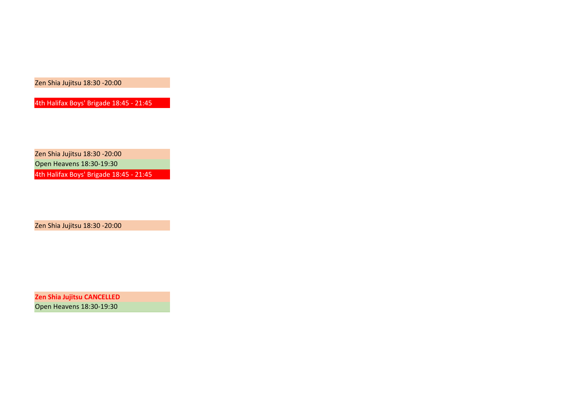4th Halifax Boys' Brigade 18:45 - 21:45

Zen Shia Jujitsu 18:30 -20:00 Open Heavens 18:30-19:30 4th Halifax Boys' Brigade 18:45 - 21:45

Zen Shia Jujitsu 18:30 -20:00

**Zen Shia Jujitsu CANCELLED** Open Heavens 18:30-19:30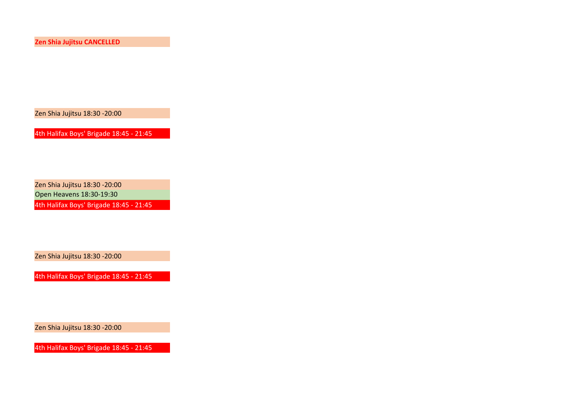**Zen Shia Jujitsu CANCELLED**

Zen Shia Jujitsu 18:30 -20:00

4th Halifax Boys' Brigade 18:45 - 21:45

Zen Shia Jujitsu 18:30 -20:00

Open Heavens 18:30-19:30

4th Halifax Boys' Brigade 18:45 - 21:45

Zen Shia Jujitsu 18:30 -20:00

4th Halifax Boys' Brigade 18:45 - 21:45

Zen Shia Jujitsu 18:30 -20:00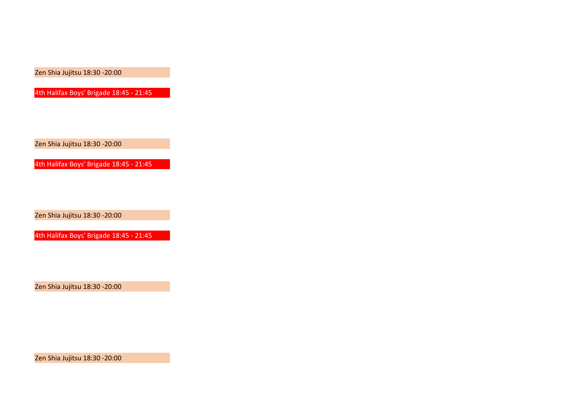4th Halifax Boys' Brigade 18:45 - 21:45

Zen Shia Jujitsu 18:30 -20:00

4th Halifax Boys' Brigade 18:45 - 21:45

Zen Shia Jujitsu 18:30 -20:00

4th Halifax Boys' Brigade 18:45 - 21:45

Zen Shia Jujitsu 18:30 -20:00

Zen Shia Jujitsu 18:30 -20:00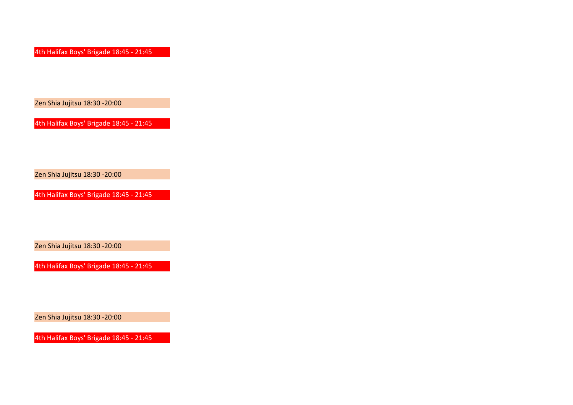4th Halifax Boys' Brigade 18:45 - 21:45

Zen Shia Jujitsu 18:30 -20:00

4th Halifax Boys' Brigade 18:45 - 21:45

Zen Shia Jujitsu 18:30 -20:00

4th Halifax Boys' Brigade 18:45 - 21:45

Zen Shia Jujitsu 18:30 -20:00

4th Halifax Boys' Brigade 18:45 - 21:45

Zen Shia Jujitsu 18:30 -20:00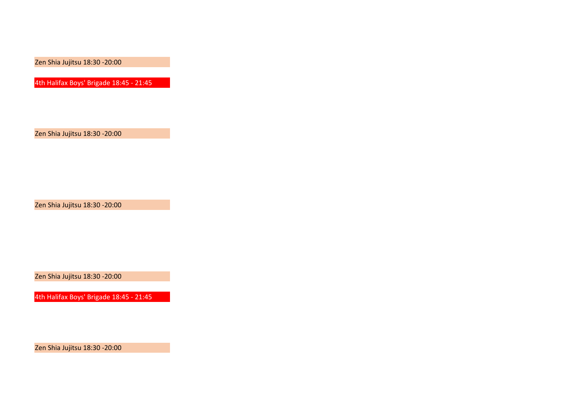4th Halifax Boys' Brigade 18:45 - 21:45

Zen Shia Jujitsu 18:30 -20:00

Zen Shia Jujitsu 18:30 -20:00

Zen Shia Jujitsu 18:30 -20:00

4th Halifax Boys' Brigade 18:45 - 21:45

Zen Shia Jujitsu 18:30 -20:00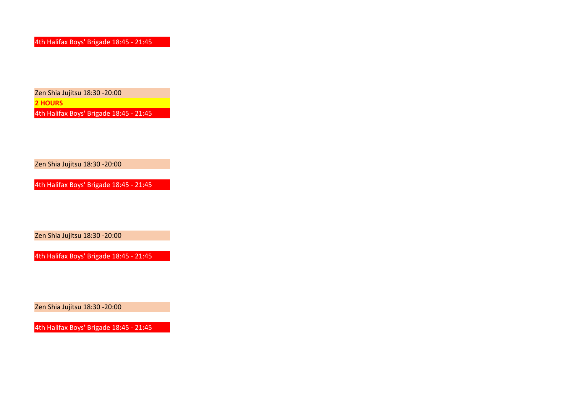Zen Shia Jujitsu 18:30 -20:00 **2 HOURS** 4th Halifax Boys' Brigade 18:45 - 21:45

Zen Shia Jujitsu 18:30 -20:00

4th Halifax Boys' Brigade 18:45 - 21:45

Zen Shia Jujitsu 18:30 -20:00

4th Halifax Boys' Brigade 18:45 - 21:45

Zen Shia Jujitsu 18:30 -20:00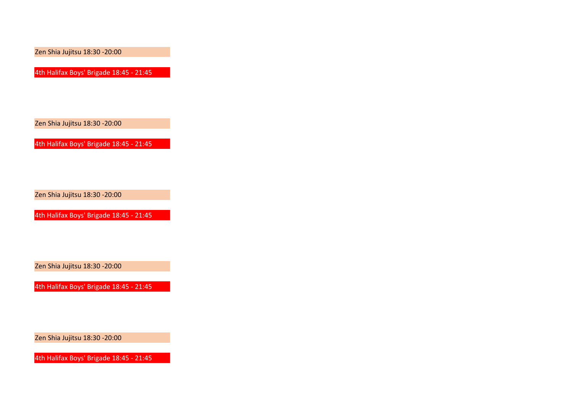4th Halifax Boys' Brigade 18:45 - 21:45

Zen Shia Jujitsu 18:30 -20:00

4th Halifax Boys' Brigade 18:45 - 21:45

Zen Shia Jujitsu 18:30 -20:00

4th Halifax Boys' Brigade 18:45 - 21:45

Zen Shia Jujitsu 18:30 -20:00

4th Halifax Boys' Brigade 18:45 - 21:45

Zen Shia Jujitsu 18:30 -20:00